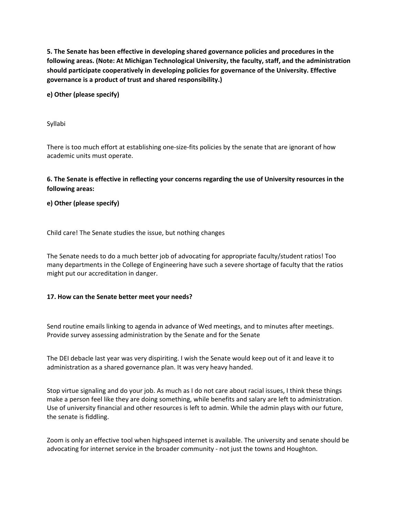**5. The Senate has been effective in developing shared governance policies and procedures in the following areas. (Note: At Michigan Technological University, the faculty, staff, and the administration should participate cooperatively in developing policies for governance of the University. Effective governance is a product of trust and shared responsibility.)**

**e) Other (please specify)**

Syllabi

There is too much effort at establishing one-size-fits policies by the senate that are ignorant of how academic units must operate.

## **6. The Senate is effective in reflecting your concerns regarding the use of University resources in the following areas:**

**e) Other (please specify)**

Child care! The Senate studies the issue, but nothing changes

The Senate needs to do a much better job of advocating for appropriate faculty/student ratios! Too many departments in the College of Engineering have such a severe shortage of faculty that the ratios might put our accreditation in danger.

## **17. How can the Senate better meet your needs?**

Send routine emails linking to agenda in advance of Wed meetings, and to minutes after meetings. Provide survey assessing administration by the Senate and for the Senate

The DEI debacle last year was very dispiriting. I wish the Senate would keep out of it and leave it to administration as a shared governance plan. It was very heavy handed.

Stop virtue signaling and do your job. As much as I do not care about racial issues, I think these things make a person feel like they are doing something, while benefits and salary are left to administration. Use of university financial and other resources is left to admin. While the admin plays with our future, the senate is fiddling.

Zoom is only an effective tool when highspeed internet is available. The university and senate should be advocating for internet service in the broader community - not just the towns and Houghton.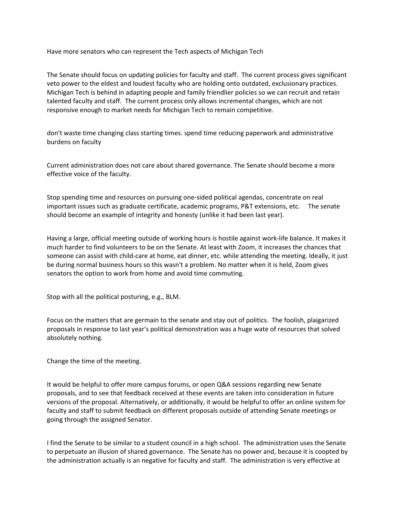Have more senators who can represent the Tech aspects of Michigan Tech

The Senate should focus on updating policies for faculty and staff. The current process gives significant veto power to the eldest and loudest faculty who are holding onto outdated, exclusionary practices. Michigan Tech is behind in adapting people and family friendlier policies so we can recruit and retain talented faculty and staff. The current process only allows incremental changes, which are not responsive enough to market needs for Michigan Tech to remain competitive.

don't waste time changing class starting times. spend time reducing paperwork and administrative burdens on faculty

Current administration does not care about shared governance. The Senate should become a more effective voice of the faculty.

Stop spending time and resources on pursuing one-sided political agendas, concentrate on real important issues such as graduate certificate, academic programs, P&T extensions, etc. The senate should become an example of integrity and honesty (unlike it had been last year).

Having a large, official meeting outside of working hours is hostile against work-life balance. It makes it much harder to find volunteers to be on the Senate. At least with Zoom, it increases the chances that someone can assist with child-care at home, eat dinner, etc. while attending the meeting. Ideally, it just be during normal business hours so this wasn't a problem. No matter when it is held, Zoom gives senators the option to work from home and avoid time commuting.

Stop with all the political posturing, e.g., BLM.

Focus on the matters that are germain to the senate and stay out of politics. The foolish, plaigarized proposals in response to last year's political demonstration was a huge wate of resources that solved absolutely nothing.

Change the time of the meeting.

It would be helpful to offer more campus forums, or open Q&A sessions regarding new Senate proposals, and to see that feedback received at these events are taken into consideration in future versions of the proposal. Alternatively, or additionally, it would be helpful to offer an online system for faculty and staff to submit feedback on different proposals outside of attending Senate meetings or going through the assigned Senator.

I find the Senate to be similar to a student council in a high school. The administration uses the Senate to perpetuate an illusion of shared governance. The Senate has no power and, because it is coopted by the administration actually is an negative for faculty and staff. The administration is very effective at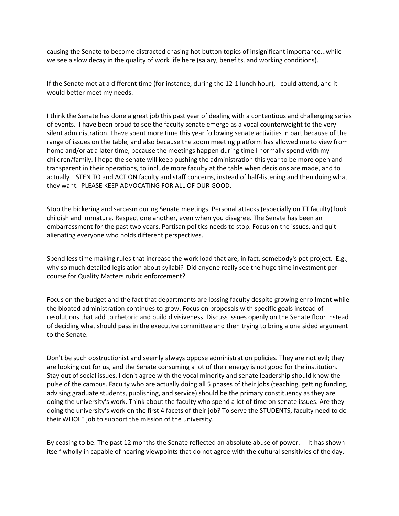causing the Senate to become distracted chasing hot button topics of insignificant importance...while we see a slow decay in the quality of work life here (salary, benefits, and working conditions).

If the Senate met at a different time (for instance, during the 12-1 lunch hour), I could attend, and it would better meet my needs.

I think the Senate has done a great job this past year of dealing with a contentious and challenging series of events. I have been proud to see the faculty senate emerge as a vocal counterweight to the very silent administration. I have spent more time this year following senate activities in part because of the range of issues on the table, and also because the zoom meeting platform has allowed me to view from home and/or at a later time, because the meetings happen during time I normally spend with my children/family. I hope the senate will keep pushing the administration this year to be more open and transparent in their operations, to include more faculty at the table when decisions are made, and to actually LISTEN TO and ACT ON faculty and staff concerns, instead of half-listening and then doing what they want. PLEASE KEEP ADVOCATING FOR ALL OF OUR GOOD.

Stop the bickering and sarcasm during Senate meetings. Personal attacks (especially on TT faculty) look childish and immature. Respect one another, even when you disagree. The Senate has been an embarrassment for the past two years. Partisan politics needs to stop. Focus on the issues, and quit alienating everyone who holds different perspectives.

Spend less time making rules that increase the work load that are, in fact, somebody's pet project. E.g., why so much detailed legislation about syllabi? Did anyone really see the huge time investment per course for Quality Matters rubric enforcement?

Focus on the budget and the fact that departments are lossing faculty despite growing enrollment while the bloated administration continues to grow. Focus on proposals with specific goals instead of resolutions that add to rhetoric and build divisiveness. Discuss issues openly on the Senate floor instead of deciding what should pass in the executive committee and then trying to bring a one sided argument to the Senate.

Don't be such obstructionist and seemly always oppose administration policies. They are not evil; they are looking out for us, and the Senate consuming a lot of their energy is not good for the institution. Stay out of social issues. I don't agree with the vocal minority and senate leadership should know the pulse of the campus. Faculty who are actually doing all 5 phases of their jobs (teaching, getting funding, advising graduate students, publishing, and service) should be the primary constituency as they are doing the university's work. Think about the faculty who spend a lot of time on senate issues. Are they doing the university's work on the first 4 facets of their job? To serve the STUDENTS, faculty need to do their WHOLE job to support the mission of the university.

By ceasing to be. The past 12 months the Senate reflected an absolute abuse of power. It has shown itself wholly in capable of hearing viewpoints that do not agree with the cultural sensitivies of the day.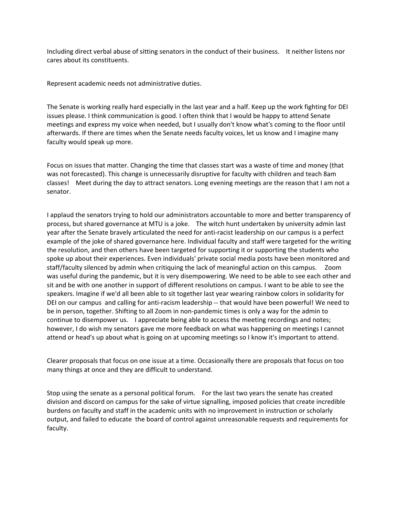Including direct verbal abuse of sitting senators in the conduct of their business. It neither listens nor cares about its constituents.

Represent academic needs not administrative duties.

The Senate is working really hard especially in the last year and a half. Keep up the work fighting for DEI issues please. I think communication is good. I often think that I would be happy to attend Senate meetings and express my voice when needed, but I usually don't know what's coming to the floor until afterwards. If there are times when the Senate needs faculty voices, let us know and I imagine many faculty would speak up more.

Focus on issues that matter. Changing the time that classes start was a waste of time and money (that was not forecasted). This change is unnecessarily disruptive for faculty with children and teach 8am classes! Meet during the day to attract senators. Long evening meetings are the reason that I am not a senator.

I applaud the senators trying to hold our administrators accountable to more and better transparency of process, but shared governance at MTU is a joke. The witch hunt undertaken by university admin last year after the Senate bravely articulated the need for anti-racist leadership on our campus is a perfect example of the joke of shared governance here. Individual faculty and staff were targeted for the writing the resolution, and then others have been targeted for supporting it or supporting the students who spoke up about their experiences. Even individuals' private social media posts have been monitored and staff/faculty silenced by admin when critiquing the lack of meaningful action on this campus. Zoom was useful during the pandemic, but it is very disempowering. We need to be able to see each other and sit and be with one another in support of different resolutions on campus. I want to be able to see the speakers. Imagine if we'd all been able to sit together last year wearing rainbow colors in solidarity for DEI on our campus and calling for anti-racism leadership -- that would have been powerful! We need to be in person, together. Shifting to all Zoom in non-pandemic times is only a way for the admin to continue to disempower us. I appreciate being able to access the meeting recordings and notes; however, I do wish my senators gave me more feedback on what was happening on meetings I cannot attend or head's up about what is going on at upcoming meetings so I know it's important to attend.

Clearer proposals that focus on one issue at a time. Occasionally there are proposals that focus on too many things at once and they are difficult to understand.

Stop using the senate as a personal political forum. For the last two years the senate has created division and discord on campus for the sake of virtue signalling, imposed policies that create incredible burdens on faculty and staff in the academic units with no improvement in instruction or scholarly output, and failed to educate the board of control against unreasonable requests and requirements for faculty.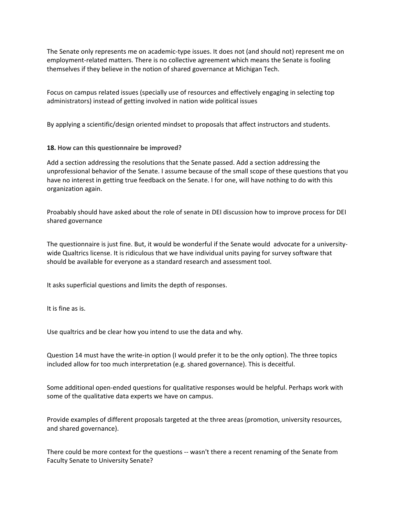The Senate only represents me on academic-type issues. It does not (and should not) represent me on employment-related matters. There is no collective agreement which means the Senate is fooling themselves if they believe in the notion of shared governance at Michigan Tech.

Focus on campus related issues (specially use of resources and effectively engaging in selecting top administrators) instead of getting involved in nation wide political issues

By applying a scientific/design oriented mindset to proposals that affect instructors and students.

## **18. How can this questionnaire be improved?**

Add a section addressing the resolutions that the Senate passed. Add a section addressing the unprofessional behavior of the Senate. I assume because of the small scope of these questions that you have no interest in getting true feedback on the Senate. I for one, will have nothing to do with this organization again.

Proabably should have asked about the role of senate in DEI discussion how to improve process for DEI shared governance

The questionnaire is just fine. But, it would be wonderful if the Senate would advocate for a universitywide Qualtrics license. It is ridiculous that we have individual units paying for survey software that should be available for everyone as a standard research and assessment tool.

It asks superficial questions and limits the depth of responses.

It is fine as is.

Use qualtrics and be clear how you intend to use the data and why.

Question 14 must have the write-in option (I would prefer it to be the only option). The three topics included allow for too much interpretation (e.g. shared governance). This is deceitful.

Some additional open-ended questions for qualitative responses would be helpful. Perhaps work with some of the qualitative data experts we have on campus.

Provide examples of different proposals targeted at the three areas (promotion, university resources, and shared governance).

There could be more context for the questions -- wasn't there a recent renaming of the Senate from Faculty Senate to University Senate?